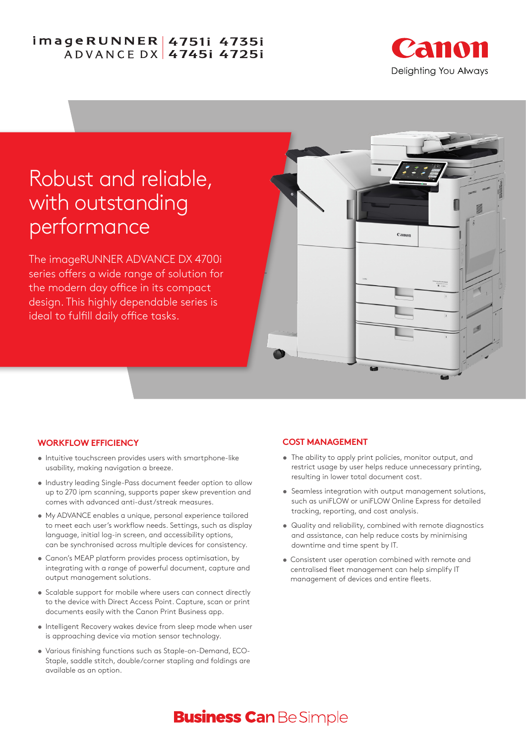# imageRUNNER 4751i 4735i **ADVANCE DX 47451 47251**



# Robust and reliable, with outstanding performance

The imageRUNNER ADVANCE DX 4700i series offers a wide range of solution for the modern day office in its compact design. This highly dependable series is ideal to fulfill daily office tasks.



### **WORKFLOW EFFICIENCY**

- **•** Intuitive touchscreen provides users with smartphone-like usability, making navigation a breeze.
- **•** Industry leading Single-Pass document feeder option to allow up to 270 ipm scanning, supports paper skew prevention and comes with advanced anti-dust/streak measures.
- **•** My ADVANCE enables a unique, personal experience tailored to meet each user's workflow needs. Settings, such as display language, initial log-in screen, and accessibility options, can be synchronised across multiple devices for consistency.
- **•** Canon's MEAP platform provides process optimisation, by integrating with a range of powerful document, capture and output management solutions.
- **•** Scalable support for mobile where users can connect directly to the device with Direct Access Point. Capture, scan or print documents easily with the Canon Print Business app.
- **•** Intelligent Recovery wakes device from sleep mode when user is approaching device via motion sensor technology.
- **•** Various finishing functions such as Staple-on-Demand, ECO-Staple, saddle stitch, double/corner stapling and foldings are available as an option.

### **COST MANAGEMENT**

- **•** The ability to apply print policies, monitor output, and restrict usage by user helps reduce unnecessary printing, resulting in lower total document cost.
- **•** Seamless integration with output management solutions, such as uniFLOW or uniFLOW Online Express for detailed tracking, reporting, and cost analysis.
- **•** Quality and reliability, combined with remote diagnostics and assistance, can help reduce costs by minimising downtime and time spent by IT.
- **•** Consistent user operation combined with remote and centralised fleet management can help simplify IT management of devices and entire fleets.

# **Business Can Be Simple**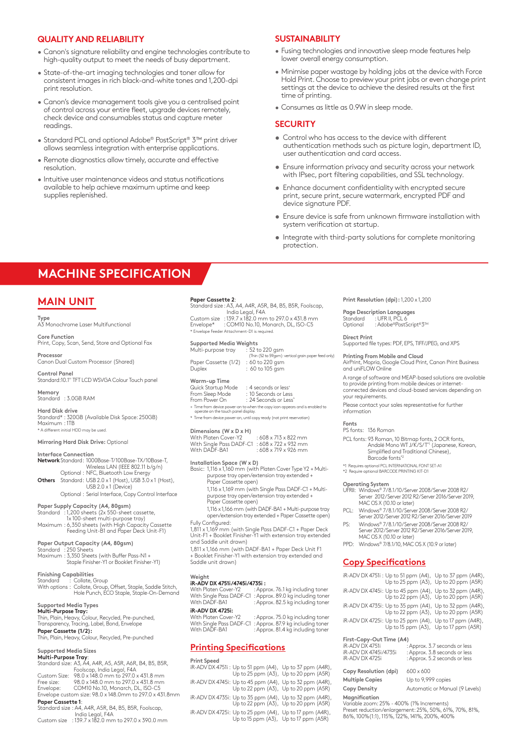#### **QUALITY AND RELIABILITY**

- Canon's signature reliability and engine technologies contribute to high-quality output to meet the needs of busy department.
- State-of-the-art imaging technologies and toner allow for consistent images in rich black-and-white tones and 1,200-dpi print resolution.
- Canon's device management tools give you a centralised point of control across your entire fleet, upgrade devices remotely, check device and consumables status and capture meter readings.
- Standard PCL and optional Adobe® PostScript® 3™ print driver allows seamless integration with enterprise applications.
- Remote diagnostics allow timely, accurate and effective resolution.
- Intuitive user maintenance videos and status notifications available to help achieve maximum uptime and keep supplies replenished.

#### **SUSTAINABILITY**

- Fusing technologies and innovative sleep mode features help lower overall energy consumption.
- Minimise paper wastage by holding jobs at the device with Force Hold Print. Choose to preview your print jobs or even change print settings at the device to achieve the desired results at the first time of printing.
- Consumes as little as 0.9W in sleep mode.

#### **SECURITY**

- **•** Control who has access to the device with different authentication methods such as picture login, department ID, user authentication and card access.
- **•** Ensure information privacy and security across your network with IPsec, port filtering capabilities, and SSL technology.
- **•** Enhance document confidentiality with encrypted secure print, secure print, secure watermark, encrypted PDF and device signature PDF.
- **•** Ensure device is safe from unknown firmware installation with system verification at startup.
- **•** Integrate with third-party solutions for complete monitoring protection.

# **MACHINE SPECIFICATION**

## **MAIN UNIT**

#### **Type**

A3 Monochrome Laser Multifunctional

**Core Function** Print, Copy, Scan, Send, Store and Optional Fax

**Processor** Canon Dual Custom Processor (Shared)

**Control Panel** Standard:10.1" TFT LCD WSVGA Colour Touch panel

**Memory** Standard : 3.0GB RAM

**Hard Disk drive**<br>Standard\* : 320GB (Available Disk Space: 250GB)<br>Maximum : 1TB \* A different initial HDD may be used.

**Mirroring Hard Disk Drive:** Optional

#### **Interface Connection**

- **Network**Standard: 1000Base-T/100Base-TX/10Base-T, Wireless LAN (IEEE 802.11 b/g/n) Optional : NFC, Bluetooth Low Energy **Others** Standard: USB 2.0 x 1 (Host), USB 3.0 x 1 (Host), USB 2.0 x 1 (Device)
- Optional : Serial Interface, Copy Control Interface

### **Paper Supply Capacity (A4, 80gsm)**

Standard : 1,200 sheets (2x 550-sheet cassette, 1x 100-sheet multi-purpose tray) Maximum : 6,350 sheets (with High Capacity Cassette Feeding Unit-B1 and Paper Deck Unit-F1)

#### **Paper Output Capacity (A4, 80gsm)**

- 
- Standard : 250 Sheets Maximum : 3,350 Sheets (with Buffer Pass-N1 + Staple Finisher-Y1 or Booklet Finisher-Y1)

# **Finishing Capabilities**<br>Standard Collate

: Collate, Group With options : Collate, Group, Offset, Staple, Saddle Stitch, Hole Punch, ECO Staple, Staple-On-Demand

#### **Supported Media Types**

**Multi-Purpose Tray:**<br>Thin, Plain, Heavy, Colour, Recycled, Pre-punched, Transparency, Tracing, Label, Bond, Envelope

**Paper Cassette (1/2):** Thin, Plain, Heavy, Colour, Recycled, Pre-punched

#### **Supported Media Sizes Multi-Purpose Tray**:

- Standard size: A3, A4, A4R, A5, A5R, A6R, B4, B5, B5R, Foolscap, India Legal, F4A Custom Size: 98.0 x 148.0 mm to 297.0 x 431.8 mm Free size: 98.0 x 148.0 mm to 297.0 x 431.8 mm Envelope: COM10 No.10, Monarch, DL, ISO-C5 Envelope custom size: 98.0 x 148.0mm to 297.0 x 431.8mm **Paper Cassette 1**:
- Standard size : A4, A4R, A5R, B4, B5, B5R, Foolscap, India Legal, F4A Custom size : 139.7 x 182.0 mm to 297.0 x 390.0 mm

#### **Paper Cassette 2**:

Standard size : A3, A4, A4R, A5R, B4, B5, B5R, Foolscap, India Legal, F4A Custom size : 139.7 x 182.0 mm to 297.0 x 431.8 mm Envelope\* : COM10 No.10, Monarch, DL, ISO-C5

# \* Envelope Feeder Attachment-D1 is required. **Supported Media Weights** Multi-purpose tray : 52 to 220 gsm

 (Thin (52 to 59gsm): vertical grain paper feed only) Paper Cassette (1/2) : 60 to 220 gsm Duplex : 60 to 105 gsm

**Warm-up Time**

Quick Startup Mode : 4 seconds or less<sup>+</sup><br>From Sleep Mode : 10 Seconds or Less From Sleep Mode<br>| From Power On

### : 24 Seconds or Less<sup>\*</sup>

+ Time from device power-on to when the copy icon appears and is enabled to operate on the touch panel display.

\* Time from device power-on, until copy ready (not print reservation)

**Dimensions (W x D x H)**

With Platen Cover-Y2 : 608 x 713 x 822 mm With Single Pass DADF-C1 : 608 x 722 x 932 mm With DADF-BA1 : 608 x 719 x 926 mm

**Installation Space (W x D)**  Basic: 1,116 x 1,160 mm (with Platen Cover Type Y2 + Multipurpose tray open/extension tray extended + Paper Cassette open)

1,116 x 1,169 mm (with Single Pass DADF-C1 + Multipurpose tray open/extension tray extended + Paper Cassette open)

1,116 x 1,166 mm (with DADF-BA1 + Multi-purpose tray open/extension tray extended + Paper Cassette open)

Fully Configured: 1,811 x 1,169 mm (with Single Pass DADF-C1 + Paper Deck Unit-F1 + Booklet Finisher-Y1 with extension tray extended and Saddle unit drawn)

1,811 x 1,166 mm (with DADF-BA1 + Paper Deck Unit F1 + Booklet Finisher-Y1 with extension tray extended and Saddle unit drawn)

# **Weight iR-ADV DX 4751i /4745i/4735i :**

With Platen Cover-Y2 : Approx. 76.1 kg including toner With Single Pass DADF-C1 : Approx. 89.0 kg including toner

With DADF-BA1 : Approx. 82.5 kg including toner **iR-ADV DX 4725i:**

With Platen Cover-Y2 : Approx. 75.0 kg including toner With Single Pass DADF-C1 : Approx. 87.9 kg including toner With DADF-BA1 : Approx. 81.4 kg including toner

#### **Printing Specifications**

# **Print Speed**<br>iR-ADV DX 4751i : Up to 51 ppm (A4), Up to 37 ppm (A4R),<br>Up to 20 ppm (A5R) iR-ADV DX 4745i: Up to 45 ppm (A4), Up to 32 ppm (A4R), Up to 22 ppm (A3), Up to 20 ppm (A5R) iR-ADV DX 4735i: Up to 35 ppm (A4), Up to 32 ppm (A4R), Up to 22 ppm (A3), Up to 20 ppm (A5R) iR-ADV DX 4725i: Up to 25 ppm (A4), Up to 17 ppm (A4R), Up to 15 ppm (A3), Up to 17 ppm (A5R)

**Print Resolution (dpi):** 1,200 x 1,200

**Page Description Languages** Standard <sup>:</sup> : UFR II, PCL 6<br>Optional : Adobe®Post . Ontin, i GEO<br>∴Adobe®PostScript®3™

#### **Direct Print**

Supported file types: PDF, EPS, TIFF/JPEG, and XPS

#### **Printing From Mobile and Cloud** AirPrint, Mopria, Google Cloud Print, Canon Print Business and uniFLOW Online

A range of software and MEAP-based solutions are available to provide printing from mobile devices or internetconnected devices and cloud-based services depending on your requirements.

Please contact your sales representative for further information

#### **Fonts**

PS fonts: 136 Roman

- PCL fonts: 93 Roman, 10 Bitmap fonts, 2 OCR fonts, Andalé Mono WT J/K/S/T\*1 (Japanese, Korean, Simplified and Traditional Chinese), Barcode fonts\*2
- \*1 Requires optional PCL INTERNATIONAL FONT SET-A1 \*2 Require optional BARCODE PRINTING KIT-D1
- 

#### **Operating System**

- UFRII: Windows® 7 / 8.1 /10 / Server 2008 / Server 2008 R2 / Server 2012 / Server 2012 R2 / Server 2016/Server 2019, MAC OS X (10.10 or later)
- PCL: Windows® 7 / 8.1 / 10 / Server 2008 / Server 2008 R2 / Server 2012 / Server 2012 R2 / Server 2016/Server 2019 PS: Windows® 7/8.1/10/Server 2008/Server 2008 R2/
- Server 2012/Server 2012 R2/Server 2016/Server 2019,<br>MAC OS X (10.10 or later)
- PPD: Windows® 7/8.1/10, MAC OS X (10.9 or later)

#### **Copy Specifications**

|                          |  | iR-ADV DX 4751i : Up to 51 ppm (A4), Up to 37 ppm (A4R),<br>Up to 25 ppm (A3), Up to 20 ppm (A5R) |
|--------------------------|--|---------------------------------------------------------------------------------------------------|
|                          |  | iR-ADV DX 4745i: Up to 45 ppm (A4), Up to 32 ppm (A4R),<br>Up to 22 ppm (A3), Up to 20 ppm (A5R)  |
|                          |  | iR-ADV DX 4735i: Up to 35 ppm (A4), Up to 32 ppm (A4R),<br>Up to 22 ppm (A3), Up to 20 ppm (A5R)  |
|                          |  | iR-ADV DX 4725i: Up to 25 ppm (A4), Up to 17 ppm (A4R),<br>Up to 15 ppm (A3), Up to 17 ppm (A5R)  |
| First-Copy-Out Time (A4) |  |                                                                                                   |

| iR-ADV DX 4751i       | : Approx. 3.7 seconds or less |
|-----------------------|-------------------------------|
| iR-ADV DX 4745i/4735i | : Approx. 3.8 seconds or less |
| iR-ADV DX 4725i       | : Approx. 5.2 seconds or less |
|                       |                               |

**Copy Resolution (dpi)** 600 x 600 **Multiple Copies** Up to 9,999 copies

**Copy Density** Automatic or Manual (9 Levels)

#### **Magnification**

Variable zoom: 25% - 400% (1% Increments) Preset reduction/enlargement: 25%, 50%, 61%, 70%, 81%, 86%, 100%(1:1), 115%, 122%, 141%, 200%, 400%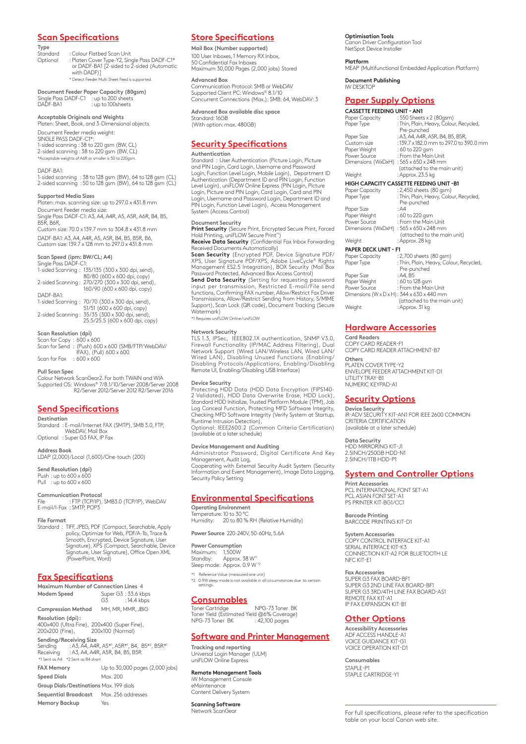#### **Scan Specifications**

**Type**

: Colour Flatbed Scan Unit Optional : Platen Cover Type-Y2, Single Pass DADF-C1\* or DADF-BA1 [2-sided to 2-sided (Automatic with DADF)] \* Detect Feeder Multi Sheet Feed is supported.

**Document Feeder Paper Capacity (80gsm)** Single Pass DADF-C1 : up to 200 sheets DADF-BA1 : up to 200 sheets

#### **Acceptable Originals and Weights**

Platen: Sheet, Book, and 3-Dimensional objects Document Feeder media weight:

SINGLE PASS DADF-C1\*: 1-sided scanning : 38 to 220 gsm (BW, CL) 2-sided scanning : 38 to 220 gsm (BW, CL) \*Acceptable weights of A6R or smaller is 50 to 220gsm.

DADF-BA1:

1-sided scanning : 38 to 128 gsm (BW), 64 to 128 gsm (CL) 2-sided scanning : 50 to 128 gsm (BW), 64 to 128 gsm (CL)

#### **Supported Media Sizes**

Platen: max. scanning size: up to 297.0 x 431.8 mm Document Feeder media size: Single Pass DADF-C1: A3, A4, A4R, A5, A5R, A6R, B4, B5,

B<sub>5R</sub>, B<sub>6R</sub> Custom size: 70.0 x 139.7 mm to 304.8 x 431.8 mm

DADF-BA1: A3, A4, A4R, A5, A5R, B4, B5, B5R, B6, Custom size: 139.7 x 128 mm to 297.0 x 431.8 mm

**Scan Speed (ipm: BW/CL; A4)**  Single Pass DADF-C1:

1-sided Scanning : 135/135 (300 x 300 dpi, send), 80/80 (600 x 600 dpi, copy) 2-sided Scanning : 270/270 (300 x 300 dpi, send), 160/90 (600 x 600 dpi, copy) DADF-BA1: 1-sided Scanning : 70/70 (300 x 300 dpi, send), 51/51 (600 x 600 dpi, copy) 2-sided Scanning : 35/35 (300 x 300 dpi, send), 25.5/25.5 (600 x 600 dpi, copy)

**Scan Resolution (dpi)**

Scan for Copy : 600 x 600 Scan for Send : (Push) 600 x 600 (SMB/FTP/WebDAV/ IFAX), (Pull) 600 x 600 Scan for Fax  $: 600 \times 600$ 

**Pull Scan Spec**

Colour Network ScanGear2. For both TWAIN and WIA Supported OS: Windows® 7/8.1/10/Server 2008/Server 2008 R2/Server 2012/Server 2012 R2/Server 2016

#### **Send Specifications**

**Destination**

Standard : E-mail/ Internet FAX (SMTP), SMB 3.0, FTP, WebDAV, Mail Box Optional : Super G3 FAX, IP Fax

**Address Book**

LDAP (2,000)/Local (1,600)/One-touch (200)

**Send Resolution (dpi)** Push : up to 600 x 600 Pull : up to 600 x 600

**Communication Protocol** File : FTP (TCP/IP), SMB3.0 (TCP/IP), WebDAV E-mail/I-Fax : SMTP, POP3

**File Format**

Standard : TIFF, JPEG, PDF (Compact, Searchable, Apply policy, Optimize for Web, PDF/A-1b, Trace & Smooth, Encrypted, Device Signature, User Signature), XPS (Compact, Searchable, Device Signature, User Signature), Office Open XML (PowerPoint, Word)

#### **Fax Specifications**

| Maximum Number of Connection Lines 4                                                                                                                                                                               |                                       |                                 |
|--------------------------------------------------------------------------------------------------------------------------------------------------------------------------------------------------------------------|---------------------------------------|---------------------------------|
| Modem Speed                                                                                                                                                                                                        | Super G3: 33.6 kbps<br>G3 : 14.4 kbps |                                 |
| <b>Compression Method</b>                                                                                                                                                                                          | MH, MR, MMR, JBIG                     |                                 |
| Resolution (dpi):<br>400x400 (Ultra Fine), 200x400 (Super Fine),<br>200x200 (Fine), 200x100 (Normal)                                                                                                               |                                       |                                 |
| Sending/Receiving Size<br>Sending : A3, A4, A4R, A5 <sup>*1</sup> , A5R <sup>*1</sup> , B4, B5 <sup>*2</sup> , B5R <sup>*1</sup><br>Receiving : A3, A4, A4R, A5R, B4, B5, B5R<br>*1 Sent as A4 *2 Sent as B4 short |                                       |                                 |
| <b>FAX Memory</b>                                                                                                                                                                                                  |                                       | Up to 30,000 pages (2,000 jobs) |
| <b>Speed Dials</b>                                                                                                                                                                                                 | Max. 200                              |                                 |
| Group Dials/Destinations Max. 199 dials                                                                                                                                                                            |                                       |                                 |
| Sequential Broadcast Max. 256 addresses                                                                                                                                                                            |                                       |                                 |
| <b>Memory Backup</b>                                                                                                                                                                                               | Yes                                   |                                 |

#### **Store Specifications**

**Mail Box (Number supported)** 100 User Inboxes, 1 Memory RX Inbox, 50 Confidential Fax Inboxes Maximum 30,000 Pages (2,000 jobs) Stored

#### **Advanced Box**

Communication Protocol: SMB or WebDAV Supported Client PC: Windows® 8.1/10 Concurrent Connections (Max.): SMB: 64, WebDAV: 3

 **Advanced Box available disc space** Standard: 16GB (With option: max. 480GB)

#### **Security Specifications**

#### **Authentication**

Standard : User Authentication (Picture Login, Picture and PIN Login, Card Login, Username and Password Login, Function Level Login, Mobile Login), Department ID Authentication (Department ID and PIN Login, Function Level Login), uniFLOW Online Express (PIN Login, Picture Login, Picture and PIN Login, Card Login, Card and PIN Login, Username and Password Login, Department ID and PIN Login, Function Level Login), Access Management System (Access Control)

#### **Document Security**

**Print Security** (Secure Print, Encrypted Secure Print, Forced<br>Hold Printing, uniFLOW Secure Print\*1)<br>**Receive Data Security** (Confidential Fax Inbox Forwarding

Received Documents Automatically)<br>**Scan Security** (Encrypted PDF, Device Signature PDF/<br>XPS, User Signature PDF/XPS, Adobe LiveCycle® Rights<br>Management ES2.5 Integration), BOX Security (Mail Box<br>Password Protected, Advance

**Send Data Security** (Setting for requesting password<br>input per transmission, Restricted E-mail/File send<br>functions,Confirming FAX number,Allow/Restrict Fax Driver<br>Transmissions, Allow/Restrict Sending from History, S/MIME Support), Scan Lock (QR code), Document Tracking (Secure Watermark) \*1 Requires uniFLOW Online / uniFLOW

#### **Network Security**

TLS 1.3, IPSec, IEEE802.1X authentication, SNMP V3.0, Firewall Functionality (IP/MAC Address Filtering), Dual Network Support (Wired LAN/Wireless LAN, Wired LAN/ Wired LAN), Disabling Unused Functions (Enabling/ Disabling Protocols /Applications, Enabling/Disabling Remote UI, Enabling/Disabling USB Interface)

#### **Device Security**

Protecting HDD Data (HDD Data Encryption (FIPS140- 2 Validated), HDD Data Overwrite Erase, HDD Lock), Standard HDD Initialize, Trusted Platform Module (TPM), Job Log Conceal Function, Protecting MFD Software Integrity, Checking MFD Software Integrity (Verify System at Startup, Runtime Intrusion Detection), Optional: IEEE2600.2 (Common Criteria Certification)

(available at a later schedule)

#### **Device Management and Auditing**

Administrator Password, Digital Certificate And Key Management, Audit Log,

Cooperating with External Security Audit System (Security Information and Event Management), Image Data Logging, Security Policy Setting

### **Environmental Specifications**

**Operating Environment** Temperature:10 to 30 ºC Humidity: 20 to 80 % RH (Relative Humidity)

**Power Source** 220-240V, 50-60Hz, 5.6A

**Power Consumption** Maximum: 1,500W Standby: Approx. 38 W\*1 Sleep mode: Approx. 0.9 W \*2

\*1 Reference Value (measured one unit) \*2 0.9W sleep mode is not available in all circumstances due to certain settings.

#### **Consumables**

Toner Cartridge NPG-73 Toner BK Toner Yield (Estimated Yield @6% Coverage) NPG-73 Toner BK : 42,100 pages

#### **Software and Printer Management**

**Tracking and reporting** Universal Login Manager (ULM) uniFLOW Online Express

# **Remote Management Tools** iW Management Console

eMaintenance Content Delivery System

**Scanning Software** Network ScanGear

#### **Optimisation Tools**

Canon Driver Configuration Tool NetSpot Device Installer

**Platform** MEAP (Multifunctional Embedded Application Platform)

**Document Publishing** IW DESKTOP

#### **Paper Supply Options CASSETTE FEEDING UNIT - AN1**

| Paper Capacity              | : 550 Sheets x 2 (80gsm)                               |
|-----------------------------|--------------------------------------------------------|
| Paper Type                  | : Thin, Plain, Heavy, Colour, Recycled,<br>Pre-punched |
| Paper Size                  | : A3, A4, A4R, A5R, B4, B5, B5R,                       |
| Custom size                 | : 139.7 x 182.0 mm to 297.0 to 390.0 mm                |
| Paper Weight                | : 60 to 220 gsm                                        |
| Power Source                | : From the Main Unit                                   |
|                             | Dimensions (WxDxH): 565 x 650 x 248 mm                 |
|                             | (attached to the main unit)                            |
| Weight                      | : Approx. 23.5 kg                                      |
|                             | <b>HIGH CAPACITY CASSETTE FEEDING UNIT -B1</b>         |
| Paper Capacity              | : 2,450 sheets (80 gsm)                                |
| Paper Type                  | : Thin, Plain, Heavy, Colour, Recycled,                |
|                             | Pre-punched                                            |
| Paper Size                  | : A4                                                   |
| Paper Weight                | : 60 to 220 gsm                                        |
| Power Source                | : From the Main Unit                                   |
|                             | Dimensions (WxDxH): 565 x 650 x 248 mm                 |
|                             | (attached to the main unit)                            |
| Weight                      | : Approx. 28 kg                                        |
| <b>PAPER DECK UNIT - F1</b> |                                                        |
| Paper Capacity              | : 2,700 sheets (80 gsm)                                |
| Paper Type                  | : Thin, Plain, Heavy, Colour, Recycled,                |
|                             | Pre-punched                                            |
| Paper Size                  | : A4, B5                                               |
| Paper Weight                | : 60 to 128 gsm                                        |

Power Source : From the Main Unit Dimensions (W x D x H): 344 x 630 x 440 mm

### (attached to the main unit) : Approx. 31 kg

#### **Hardware Accessories**

**Card Readers** COPY CARD READER-F1 COPY CARD READER ATTACHMENT-B7 **Others** PLATEN COVER TYPE-Y2 ENVELOPE FEEDER ATTACHMENT KIT-D1 UTILITY TRAY-B1 NUMERIC KEYPAD-A1

#### **Security Options**

**Device Security** iR-ADV SECURITY KIT-AN1 FOR IEEE 2600 COMMON CRITERIA CERTIFICATION (available at a later schedule)

**Data Security** HDD MIRRORING KIT-J1 2.5INCH/250GB HDD-N1 2.5INCH/1TB HDD-P1

#### **System and Controller Options**

**Print Accessories** PCL INTERNATIONAL FONT SET-A1 PCL ASIAN FONT SET-A1 PS PRINTER KIT-BG1/CC1

**Barcode Printing** BARCODE PRINTING KIT-D1

**System Accessories** COPY CONTROL INTERFACE KIT-A1 SERIAL INTERFACE KIT-K3 CONNECTION KIT-A2 FOR BLUETOOTH LE NEC KIT-F1

**Fax Accessories** SUPER G3 FAX BOARD-BF1 SUPER G3 2ND LINE FAX BOARD-BF1 SUPER G3 3RD/4TH LINE FAX BOARD-AS1 REMOTE FAX KIT-A1 IP FAX EXPANSION KIT-B1

#### **Other Options**

**Accessibility Accessories** ADF ACCESS HANDLE-A1 VOICE GUIDANCE KIT-G1 VOICE OPERATION KIT-D1

**Consumables** STAPI F-P1 STAPLE CARTRIDGE-Y1

For full specifications, please refer to the specification table on your local Canon web site.